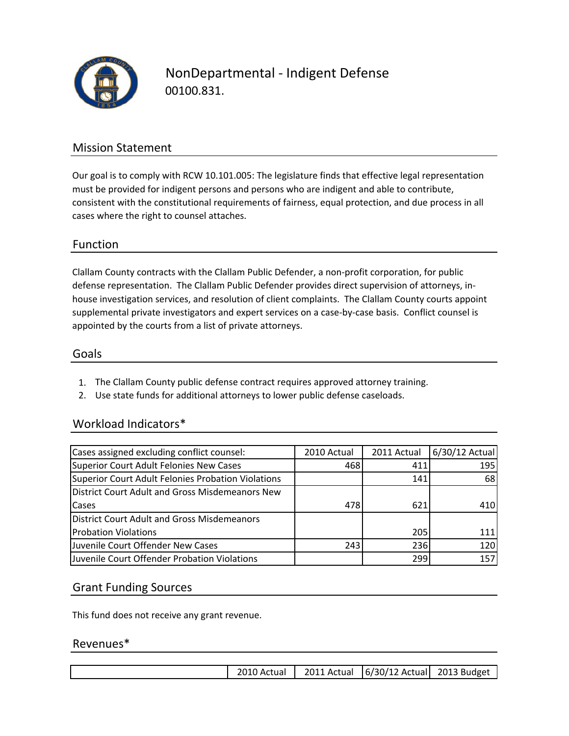

NonDepartmental ‐ Indigent Defense 00100.831.

### Mission Statement

Our goal is to comply with RCW 10.101.005: The legislature finds that effective legal representation must be provided for indigent persons and persons who are indigent and able to contribute, consistent with the constitutional requirements of fairness, equal protection, and due process in all cases where the right to counsel attaches.

#### Function

Clallam County contracts with the Clallam Public Defender, a non‐profit corporation, for public defense representation. The Clallam Public Defender provides direct supervision of attorneys, in‐ house investigation services, and resolution of client complaints. The Clallam County courts appoint supplemental private investigators and expert services on a case-by-case basis. Conflict counsel is appointed by the courts from a list of private attorneys.

#### Goals

- 1. The Clallam County public defense contract requires approved attorney training.
- 2. Use state funds for additional attorneys to lower public defense caseloads.

#### Workload Indicators\*

| Cases assigned excluding conflict counsel:         | 2010 Actual | 2011 Actual | 6/30/12 Actual |
|----------------------------------------------------|-------------|-------------|----------------|
| Superior Court Adult Felonies New Cases            | 468         | 411         | 195            |
| Superior Court Adult Felonies Probation Violations |             | 141         | 68             |
| District Court Adult and Gross Misdemeanors New    |             |             |                |
| Cases                                              | 478         | 621         | 410            |
| <b>District Court Adult and Gross Misdemeanors</b> |             |             |                |
| <b>Probation Violations</b>                        |             | 205         | 111            |
| Juvenile Court Offender New Cases                  | 243         | 236         | 120            |
| Juvenile Court Offender Probation Violations       |             | 299         | 157            |

#### Grant Funding Sources

This fund does not receive any grant revenue.

#### Revenues\*